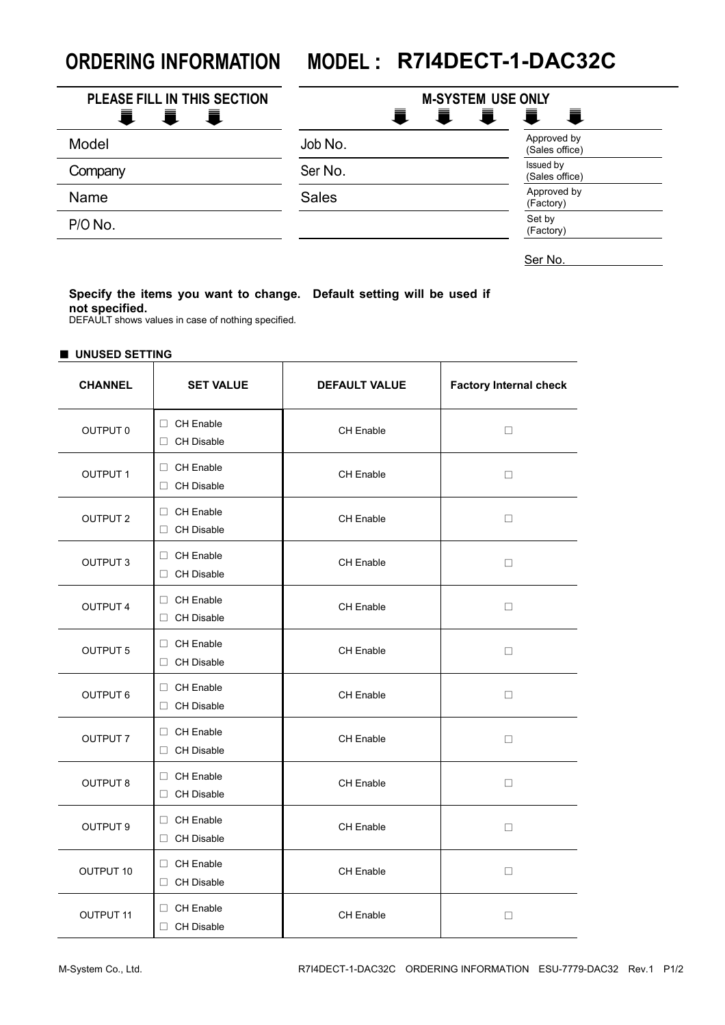## **ORDERING INFORMATION MODEL : R7I4DECT-1-DAC32C**

| <b>PLEASE FILL IN THIS SECTION</b><br>Ħ.<br>青<br>量 | <b>M-SYSTEM USE ONLY</b><br>Ħ.<br>Ħ.<br>一章<br>一直 |                               |  |
|----------------------------------------------------|--------------------------------------------------|-------------------------------|--|
| Model                                              | Job No.                                          | Approved by<br>(Sales office) |  |
| Company                                            | Ser No.                                          | Issued by<br>(Sales office)   |  |
| Name                                               | <b>Sales</b>                                     | Approved by<br>(Factory)      |  |
| P/O No.                                            |                                                  | Set by<br>(Factory)           |  |

Ser No.

## **Specify the items you want to change. Default setting will be used if not specified.**

DEFAULT shows values in case of nothing specified.

| UNUSED SETTING   |                                       |                      |                               |
|------------------|---------------------------------------|----------------------|-------------------------------|
| <b>CHANNEL</b>   | <b>SET VALUE</b>                      | <b>DEFAULT VALUE</b> | <b>Factory Internal check</b> |
| OUTPUT 0         | $\Box$ CH Enable<br>□ CH Disable      | CH Enable            | $\Box$                        |
| <b>OUTPUT 1</b>  | □ CH Enable<br>$\Box$ CH Disable      | <b>CH Enable</b>     | $\Box$                        |
| <b>OUTPUT 2</b>  | □ CH Enable<br>□ CH Disable           | CH Enable            | □                             |
| <b>OUTPUT 3</b>  | $\Box$ CH Enable<br>$\Box$ CH Disable | <b>CH Enable</b>     | □                             |
| <b>OUTPUT 4</b>  | $\Box$ CH Enable<br>□ CH Disable      | <b>CH Enable</b>     | $\Box$                        |
| <b>OUTPUT 5</b>  | $\Box$ CH Enable<br>CH Disable        | CH Enable            | □                             |
| <b>OUTPUT 6</b>  | $\Box$ CH Enable<br>CH Disable        | <b>CH Enable</b>     | □                             |
| OUTPUT 7         | $\Box$ CH Enable<br>□ CH Disable      | <b>CH Enable</b>     | □                             |
| <b>OUTPUT 8</b>  | $\Box$ CH Enable<br>□ CH Disable      | CH Enable            | □                             |
| <b>OUTPUT 9</b>  | $\Box$ CH Enable<br>□ CH Disable      | <b>CH Enable</b>     | $\Box$                        |
| OUTPUT 10        | $\Box$ CH Enable<br>□ CH Disable      | CH Enable            | $\Box$                        |
| <b>OUTPUT 11</b> | $\Box$ CH Enable<br>□ CH Disable      | CH Enable            | □                             |